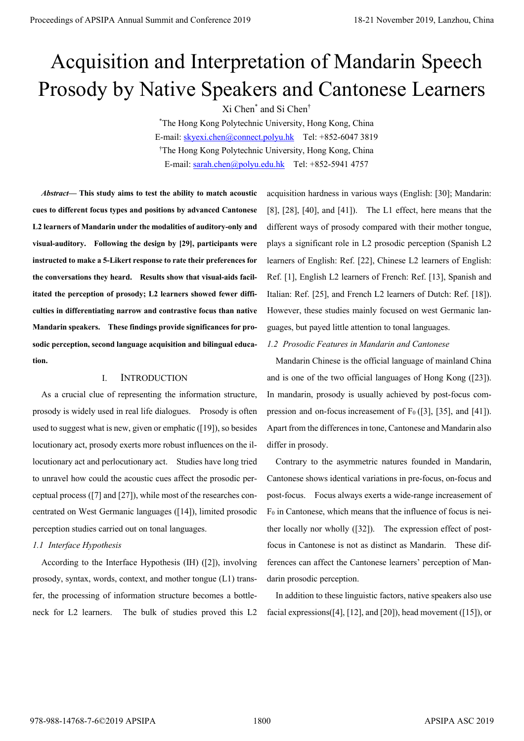# Acquisition and Interpretation of Mandarin Speech Prosody by Native Speakers and Cantonese Learners

Xi Chen\* and Si Chen†

\* The Hong Kong Polytechnic University, Hong Kong, China E-mail: skyexi.chen@connect.polyu.hk Tel: +852-6047 3819 † The Hong Kong Polytechnic University, Hong Kong, China E-mail: sarah.chen@polyu.edu.hk Tel: +852-5941 4757

*Abstract—* **This study aims to test the ability to match acoustic cues to different focus types and positions by advanced Cantonese L2 learners of Mandarin under the modalities of auditory-only and visual-auditory. Following the design by [29], participants were instructed to make a 5-Likert response to rate their preferences for the conversations they heard. Results show that visual-aids facilitated the perception of prosody; L2 learners showed fewer difficulties in differentiating narrow and contrastive focus than native Mandarin speakers. These findings provide significances for prosodic perception, second language acquisition and bilingual education.**  Proceedings of APSIPA Annual Summit and Conference 2019<br> **Proceedings of APSIPA Annual Summit and Conference 2019**<br> **Proceeding of APSIPA And The Conference 2019**<br> **Proceeding of APSIPA And The Conference 2019**<br> **Proceedi** 

## I. INTRODUCTION

As a crucial clue of representing the information structure, prosody is widely used in real life dialogues. Prosody is often used to suggest what is new, given or emphatic ([19]), so besides locutionary act, prosody exerts more robust influences on the illocutionary act and perlocutionary act. Studies have long tried to unravel how could the acoustic cues affect the prosodic perceptual process ([7] and [27]), while most of the researches concentrated on West Germanic languages ([14]), limited prosodic perception studies carried out on tonal languages.

## *1.1 Interface Hypothesis*

According to the Interface Hypothesis (IH) ([2]), involving prosody, syntax, words, context, and mother tongue (L1) transfer, the processing of information structure becomes a bottleneck for L2 learners. The bulk of studies proved this L2 acquisition hardness in various ways (English: [30]; Mandarin: [8], [28], [40], and [41]). The L1 effect, here means that the different ways of prosody compared with their mother tongue, plays a significant role in L2 prosodic perception (Spanish L2 learners of English: Ref. [22], Chinese L2 learners of English: Ref. [1], English L2 learners of French: Ref. [13], Spanish and Italian: Ref. [25], and French L2 learners of Dutch: Ref. [18]). However, these studies mainly focused on west Germanic languages, but payed little attention to tonal languages.

## *1.2 Prosodic Features in Mandarin and Cantonese*

Mandarin Chinese is the official language of mainland China and is one of the two official languages of Hong Kong ([23]). In mandarin, prosody is usually achieved by post-focus compression and on-focus increasement of  $F_0$  ([3], [35], and [41]). Apart from the differences in tone, Cantonese and Mandarin also differ in prosody.

Contrary to the asymmetric natures founded in Mandarin, Cantonese shows identical variations in pre-focus, on-focus and post-focus. Focus always exerts a wide-range increasement of F0 in Cantonese, which means that the influence of focus is neither locally nor wholly ([32]). The expression effect of postfocus in Cantonese is not as distinct as Mandarin. These differences can affect the Cantonese learners' perception of Mandarin prosodic perception.

In addition to these linguistic factors, native speakers also use facial expressions([4], [12], and [20]), head movement ([15]), or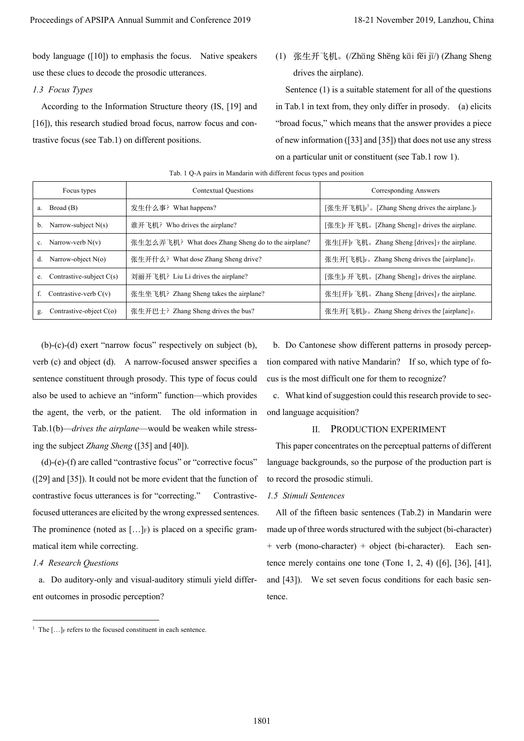## *1.3 Focus Types*

|                                                                                                                                                                                                       | Proceedings of APSIPA Annual Summit and Conference 2019                                                                                                                                                                                                                                                                                                                                                                                                                                                                                                                                                                                                                                                                            | 18-21 November 2019, Lanzhou, China                                 |                                                                                                                                                                                                                                                                                                                                                                                                                                                                                                                                                                                                                                                                                                                              |  |  |  |  |
|-------------------------------------------------------------------------------------------------------------------------------------------------------------------------------------------------------|------------------------------------------------------------------------------------------------------------------------------------------------------------------------------------------------------------------------------------------------------------------------------------------------------------------------------------------------------------------------------------------------------------------------------------------------------------------------------------------------------------------------------------------------------------------------------------------------------------------------------------------------------------------------------------------------------------------------------------|---------------------------------------------------------------------|------------------------------------------------------------------------------------------------------------------------------------------------------------------------------------------------------------------------------------------------------------------------------------------------------------------------------------------------------------------------------------------------------------------------------------------------------------------------------------------------------------------------------------------------------------------------------------------------------------------------------------------------------------------------------------------------------------------------------|--|--|--|--|
| use these clues to decode the prosodic utterances.                                                                                                                                                    | body language $([10])$ to emphasis the focus. Native speakers                                                                                                                                                                                                                                                                                                                                                                                                                                                                                                                                                                                                                                                                      | (1)                                                                 | 张生开飞机。(/Zhāng Shēng kāi fēi jī/) (Zhang Sheng<br>drives the airplane).                                                                                                                                                                                                                                                                                                                                                                                                                                                                                                                                                                                                                                                       |  |  |  |  |
| 1.3 Focus Types                                                                                                                                                                                       |                                                                                                                                                                                                                                                                                                                                                                                                                                                                                                                                                                                                                                                                                                                                    |                                                                     | Sentence $(1)$ is a suitable statement for all of the questions                                                                                                                                                                                                                                                                                                                                                                                                                                                                                                                                                                                                                                                              |  |  |  |  |
|                                                                                                                                                                                                       | According to the Information Structure theory (IS, [19] and                                                                                                                                                                                                                                                                                                                                                                                                                                                                                                                                                                                                                                                                        |                                                                     | in Tab.1 in text from, they only differ in prosody. (a) elicits                                                                                                                                                                                                                                                                                                                                                                                                                                                                                                                                                                                                                                                              |  |  |  |  |
| [16]), this research studied broad focus, narrow focus and con-                                                                                                                                       |                                                                                                                                                                                                                                                                                                                                                                                                                                                                                                                                                                                                                                                                                                                                    |                                                                     | "broad focus," which means that the answer provides a piece                                                                                                                                                                                                                                                                                                                                                                                                                                                                                                                                                                                                                                                                  |  |  |  |  |
| trastive focus (see Tab.1) on different positions.                                                                                                                                                    |                                                                                                                                                                                                                                                                                                                                                                                                                                                                                                                                                                                                                                                                                                                                    | of new information $(33]$ and $[35]$ ) that does not use any stress |                                                                                                                                                                                                                                                                                                                                                                                                                                                                                                                                                                                                                                                                                                                              |  |  |  |  |
|                                                                                                                                                                                                       |                                                                                                                                                                                                                                                                                                                                                                                                                                                                                                                                                                                                                                                                                                                                    |                                                                     | on a particular unit or constituent (see Tab.1 row 1).                                                                                                                                                                                                                                                                                                                                                                                                                                                                                                                                                                                                                                                                       |  |  |  |  |
|                                                                                                                                                                                                       | Tab. 1 Q-A pairs in Mandarin with different focus types and position                                                                                                                                                                                                                                                                                                                                                                                                                                                                                                                                                                                                                                                               |                                                                     |                                                                                                                                                                                                                                                                                                                                                                                                                                                                                                                                                                                                                                                                                                                              |  |  |  |  |
| Focus types                                                                                                                                                                                           | Contextual Questions                                                                                                                                                                                                                                                                                                                                                                                                                                                                                                                                                                                                                                                                                                               |                                                                     | <b>Corresponding Answers</b>                                                                                                                                                                                                                                                                                                                                                                                                                                                                                                                                                                                                                                                                                                 |  |  |  |  |
| Broad (B)<br>a.                                                                                                                                                                                       | 发生什么事? What happens?                                                                                                                                                                                                                                                                                                                                                                                                                                                                                                                                                                                                                                                                                                               |                                                                     | [张生开飞机]F1。[Zhang Sheng drives the airplane.]F                                                                                                                                                                                                                                                                                                                                                                                                                                                                                                                                                                                                                                                                                |  |  |  |  |
| Narrow-subject N(s)<br>b.                                                                                                                                                                             | 谁开飞机? Who drives the airplane?                                                                                                                                                                                                                                                                                                                                                                                                                                                                                                                                                                                                                                                                                                     |                                                                     | [张生] F 下飞机。[Zhang Sheng] F drives the airplane.                                                                                                                                                                                                                                                                                                                                                                                                                                                                                                                                                                                                                                                                              |  |  |  |  |
| Narrow-verb $N(v)$<br>c.                                                                                                                                                                              | 张生怎么弄飞机? What does Zhang Sheng do to the airplane?                                                                                                                                                                                                                                                                                                                                                                                                                                                                                                                                                                                                                                                                                 |                                                                     | 张生[开]F 飞机。Zhang Sheng [drives] F the airplane.                                                                                                                                                                                                                                                                                                                                                                                                                                                                                                                                                                                                                                                                               |  |  |  |  |
| Narrow-object N(o)<br>d.                                                                                                                                                                              | 张生开什么? What dose Zhang Sheng drive?                                                                                                                                                                                                                                                                                                                                                                                                                                                                                                                                                                                                                                                                                                |                                                                     | 张生开[飞机]F. Zhang Sheng drives the [airplane] F.                                                                                                                                                                                                                                                                                                                                                                                                                                                                                                                                                                                                                                                                               |  |  |  |  |
| Contrastive-subject $C(s)$<br>e.                                                                                                                                                                      | 刘丽开飞机? Liu Li drives the airplane?                                                                                                                                                                                                                                                                                                                                                                                                                                                                                                                                                                                                                                                                                                 |                                                                     | [张生] F 开飞机。[Zhang Sheng] F drives the airplane.                                                                                                                                                                                                                                                                                                                                                                                                                                                                                                                                                                                                                                                                              |  |  |  |  |
| Contrastive-verb $C(v)$<br>f.                                                                                                                                                                         | 张生坐飞机? Zhang Sheng takes the airplane?                                                                                                                                                                                                                                                                                                                                                                                                                                                                                                                                                                                                                                                                                             |                                                                     | 张生[开] F 飞机。Zhang Sheng [drives] F the airplane.                                                                                                                                                                                                                                                                                                                                                                                                                                                                                                                                                                                                                                                                              |  |  |  |  |
| Contrastive-object C(o)<br>g.                                                                                                                                                                         | 张生开巴士? Zhang Sheng drives the bus?                                                                                                                                                                                                                                                                                                                                                                                                                                                                                                                                                                                                                                                                                                 |                                                                     | 张生开[飞机]F. Zhang Sheng drives the [airplane] F.                                                                                                                                                                                                                                                                                                                                                                                                                                                                                                                                                                                                                                                                               |  |  |  |  |
| ing the subject Zhang Sheng ([35] and [40]).<br>contrastive focus utterances is for "correcting."<br>matical item while correcting.<br>1.4 Research Questions<br>ent outcomes in prosodic perception? | verb (c) and object (d). A narrow-focused answer specifies a<br>sentence constituent through prosody. This type of focus could<br>also be used to achieve an "inform" function—which provides<br>the agent, the verb, or the patient. The old information in ond language acquisition?<br>Tab.1(b)— <i>drives the airplane</i> —would be weaken while stress-<br>$(d)-(e)-(f)$ are called "contrastive focus" or "corrective focus"<br>([29] and [35]). It could not be more evident that the function of<br>Contrastive-<br>focused utterances are elicited by the wrong expressed sentences.<br>The prominence (noted as $[]_F$ ) is placed on a specific gram-<br>a. Do auditory-only and visual-auditory stimuli yield differ- | П.<br>1.5 Stimuli Sentences<br>tence.                               | tion compared with native Mandarin? If so, which type of fo-<br>cus is the most difficult one for them to recognize?<br>c. What kind of suggestion could this research provide to sec-<br>PRODUCTION EXPERIMENT<br>This paper concentrates on the perceptual patterns of different<br>language backgrounds, so the purpose of the production part is<br>to record the prosodic stimuli.<br>All of the fifteen basic sentences (Tab.2) in Mandarin were<br>made up of three words structured with the subject (bi-character)<br>+ verb (mono-character) + object (bi-character). Each sen-<br>tence merely contains one tone (Tone 1, 2, 4) ([6], [36], [41],<br>and [43]). We set seven focus conditions for each basic sen- |  |  |  |  |
| <sup>1</sup> The [] <sub>F</sub> refers to the focused constituent in each sentence.                                                                                                                  |                                                                                                                                                                                                                                                                                                                                                                                                                                                                                                                                                                                                                                                                                                                                    |                                                                     |                                                                                                                                                                                                                                                                                                                                                                                                                                                                                                                                                                                                                                                                                                                              |  |  |  |  |
|                                                                                                                                                                                                       | 1801                                                                                                                                                                                                                                                                                                                                                                                                                                                                                                                                                                                                                                                                                                                               |                                                                     |                                                                                                                                                                                                                                                                                                                                                                                                                                                                                                                                                                                                                                                                                                                              |  |  |  |  |

Tab. 1 Q-A pairs in Mandarin with different focus types and position

# *1.4 Research Questions*

## II. PRODUCTION EXPERIMENT

#### *1.5 Stimuli Sentences*

<sup>&</sup>lt;sup>1</sup> The  $[\dots]_F$  refers to the focused constituent in each sentence.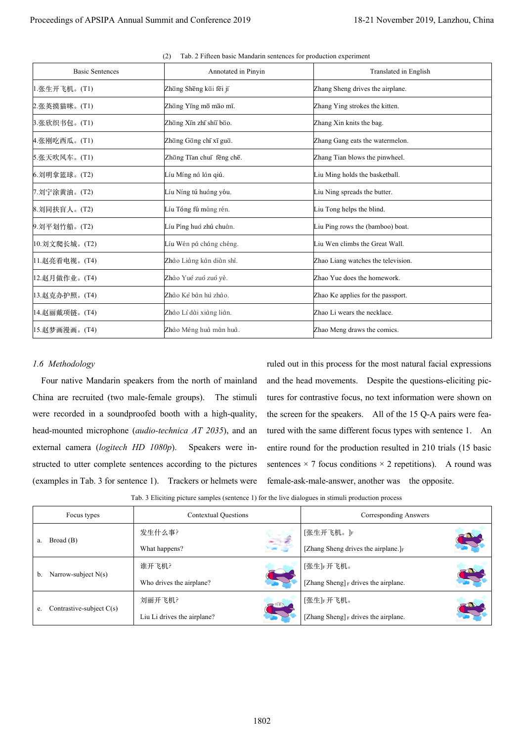| <b>Basic Sentences</b>                                            | Annotated in Pinyin                                                                                                                                                                                                       |  | Translated in English                                                                                                                                                                                                                                                 |  |  |  |  |
|-------------------------------------------------------------------|---------------------------------------------------------------------------------------------------------------------------------------------------------------------------------------------------------------------------|--|-----------------------------------------------------------------------------------------------------------------------------------------------------------------------------------------------------------------------------------------------------------------------|--|--|--|--|
| 1.张生开飞机。(T1)                                                      | Zhāng Shēng kāi fēi jī                                                                                                                                                                                                    |  | Zhang Sheng drives the airplane.                                                                                                                                                                                                                                      |  |  |  |  |
| 2.张英摸猫咪。(T1)                                                      | Zhāng Yīng mō māo mī.                                                                                                                                                                                                     |  | Zhang Ying strokes the kitten.                                                                                                                                                                                                                                        |  |  |  |  |
| 3.张欣织书包。(T1)                                                      | Zhāng Xīn zhī shū bāo.                                                                                                                                                                                                    |  | Zhang Xin knits the bag.                                                                                                                                                                                                                                              |  |  |  |  |
| 4.张刚吃西瓜。(T1)                                                      | Zhāng Gāng chī xī guā.                                                                                                                                                                                                    |  | Zhang Gang eats the watermelon.                                                                                                                                                                                                                                       |  |  |  |  |
| 5.张天吹风车。(T1)                                                      | Zhāng Tīan chuī fēng chē.                                                                                                                                                                                                 |  | Zhang Tian blows the pinwheel.                                                                                                                                                                                                                                        |  |  |  |  |
| 6. 刘明拿篮球。(T2)                                                     | Líu Míng ná lán qiú.                                                                                                                                                                                                      |  | Liu Ming holds the basketball.                                                                                                                                                                                                                                        |  |  |  |  |
| 7. 刘宁涂黄油。(T2)                                                     | Líu Níng tú huáng yóu.                                                                                                                                                                                                    |  | Liu Ning spreads the butter.                                                                                                                                                                                                                                          |  |  |  |  |
| 8. 刘同扶盲人。(T2)                                                     | Líu Tóng fú máng rén.                                                                                                                                                                                                     |  | Liu Tong helps the blind.                                                                                                                                                                                                                                             |  |  |  |  |
| 9. 刘平划竹船。(T2)                                                     | Líu Píng huá zhú chuán.                                                                                                                                                                                                   |  | Liu Ping rows the (bamboo) boat.                                                                                                                                                                                                                                      |  |  |  |  |
| 10.刘文爬长城。(T2)                                                     | Líu Wén pá cháng chéng.                                                                                                                                                                                                   |  | Liu Wen climbs the Great Wall.                                                                                                                                                                                                                                        |  |  |  |  |
| 11.赵亮看电视。(T4)                                                     | Zhào Liàng kàn diàn shì.                                                                                                                                                                                                  |  | Zhao Liang watches the television.                                                                                                                                                                                                                                    |  |  |  |  |
| 12.赵月做作业。(T4)                                                     | Zhào Yuè zuò zuò yè.                                                                                                                                                                                                      |  | Zhao Yue does the homework.                                                                                                                                                                                                                                           |  |  |  |  |
| 13.赵克办护照。(T4)                                                     | Zhào Kê bàn hủ zhào.                                                                                                                                                                                                      |  | Zhao Ke applies for the passport.                                                                                                                                                                                                                                     |  |  |  |  |
| 14.赵丽戴项链。(T4)                                                     | Zhào Lì dài xiàng liàn.                                                                                                                                                                                                   |  | Zhao Li wears the necklace.                                                                                                                                                                                                                                           |  |  |  |  |
| 15.赵梦画漫画。(T4)                                                     | Zhào Mèng huà màn huà.                                                                                                                                                                                                    |  | Zhao Meng draws the comics.                                                                                                                                                                                                                                           |  |  |  |  |
| 1.6 Methodology<br>China are recruited (two male-female groups).  | Four native Mandarin speakers from the north of mainland<br>The stimuli<br>were recorded in a soundproofed booth with a high-quality,                                                                                     |  | ruled out in this process for the most natural facial expressions<br>and the head movements. Despite the questions-eliciting pic-<br>tures for contrastive focus, no text information were shown on<br>the screen for the speakers. All of the 15 Q-A pairs were fea- |  |  |  |  |
|                                                                   | head-mounted microphone ( <i>audio-technica AT 2035</i> ), and an<br>Speakers were in-<br>structed to utter complete sentences according to the pictures<br>(examples in Tab. 3 for sentence 1). Trackers or helmets were |  | tured with the same different focus types with sentence 1. An<br>entire round for the production resulted in 210 trials (15 basic<br>sentences $\times$ 7 focus conditions $\times$ 2 repetitions). A round was<br>female-ask-male-answer, another was the opposite.  |  |  |  |  |
|                                                                   | Tab. 3 Eliciting picture samples (sentence 1) for the live dialogues in stimuli production process                                                                                                                        |  |                                                                                                                                                                                                                                                                       |  |  |  |  |
| Focus types                                                       | Contextual Questions                                                                                                                                                                                                      |  | <b>Corresponding Answers</b>                                                                                                                                                                                                                                          |  |  |  |  |
|                                                                   | 发生什么事?                                                                                                                                                                                                                    |  | [张生开飞机。]F                                                                                                                                                                                                                                                             |  |  |  |  |
| Broad (B)<br>a.                                                   | What happens?                                                                                                                                                                                                             |  | [Zhang Sheng drives the airplane.]F                                                                                                                                                                                                                                   |  |  |  |  |
|                                                                   | 谁开飞机?                                                                                                                                                                                                                     |  | [张生]F开飞机。                                                                                                                                                                                                                                                             |  |  |  |  |
| external camera (logitech HD 1080p).<br>Narrow-subject N(s)<br>b. | Who drives the airplane?                                                                                                                                                                                                  |  | [Zhang Sheng] F drives the airplane.                                                                                                                                                                                                                                  |  |  |  |  |
| Contrastive-subject $C(s)$<br>e.                                  | 刘丽开飞机?                                                                                                                                                                                                                    |  | [张生]F开飞机。                                                                                                                                                                                                                                                             |  |  |  |  |

(2) Tab. 2 Fifteen basic Mandarin sentences for production experiment

## *1.6 Methodology*

| Focus types                      | <b>Contextual Questions</b> |            | Corresponding Answers                   |  |
|----------------------------------|-----------------------------|------------|-----------------------------------------|--|
|                                  | 发生什么事?                      |            | [张生开飞机。]F                               |  |
| Broad(B)<br>a.                   | What happens?               |            | [Zhang Sheng drives the airplane.] $_F$ |  |
|                                  | 谁开飞机?                       |            | [张生]F开飞机。                               |  |
| Narrow-subject $N(s)$<br>b.      | Who drives the airplane?    |            | [Zhang Sheng] $_F$ drives the airplane. |  |
| Contrastive-subject $C(s)$<br>e. | 刘丽开飞机?                      | <b>REA</b> | [张生]F开飞机。                               |  |
|                                  | Liu Li drives the airplane? |            | [Zhang Sheng] F drives the airplane.    |  |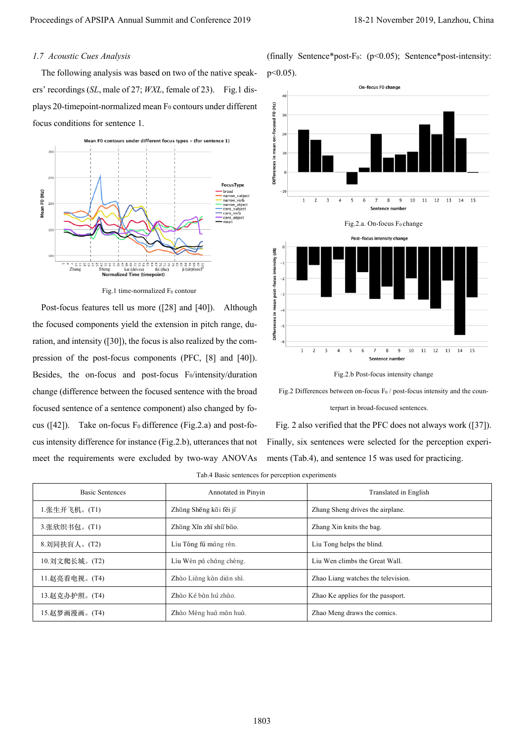## *1.7 Acoustic Cues Analysis*



Fig.1 time-normalized  $F_0$  contour









Tab.4 Basic sentences for perception experiments

| Proceedings of APSIPA Annual Summit and Conference 2019                                                            |                                                                                                                          |                                                            | 18-21 November 2019, Lanzhou, China                                                                                                                  |  |
|--------------------------------------------------------------------------------------------------------------------|--------------------------------------------------------------------------------------------------------------------------|------------------------------------------------------------|------------------------------------------------------------------------------------------------------------------------------------------------------|--|
| 1.7 Acoustic Cues Analysis<br>The following analysis was based on two of the native speak-                         |                                                                                                                          | $p<0.05$ ).                                                | (finally Sentence*post-F <sub>0</sub> : $(p<0.05)$ ; Sentence*post-intensity:                                                                        |  |
| ers' recordings (SL, male of 27; WXL, female of 23). Fig.1 dis-                                                    |                                                                                                                          | 40                                                         | On-focus F0 change                                                                                                                                   |  |
| plays 20-timepoint-normalized mean F <sub>0</sub> contours under different                                         |                                                                                                                          | 30                                                         |                                                                                                                                                      |  |
| focus conditions for sentence 1.                                                                                   |                                                                                                                          | 20                                                         |                                                                                                                                                      |  |
| Mean F0 contours under different focus types - (for sentence 1)<br>300<br>250<br>Mean F0 (Hz)<br>200<br>150<br>100 | FocusType<br>broad<br>narrow subject<br>narrow verb<br>narrow_object<br>cons_subject<br>cons verb<br>cons_object<br>mean | Differences in mean on-focused F0 (Hz)<br>10<br>$-10$<br>1 | $\overline{2}$<br>3<br>10<br>11<br>12<br>13<br>14<br>15<br>Sentence number<br>Fig.2.a. On-focus F <sub>0</sub> change<br>Post-focus intensity change |  |
| 25<br>' 12 1<br>Zhang<br>Sheng<br>fei (the)<br>kai (drives)<br><b>Normalized Time (timepoint)</b>                  | 8225<br>ji (airplane)                                                                                                    | Differences in mean post-focus intensity (dB)              |                                                                                                                                                      |  |
| Fig.1 time-normalized F <sub>0</sub> contour                                                                       |                                                                                                                          |                                                            |                                                                                                                                                      |  |
| Post-focus features tell us more ([28] and [40]).                                                                  | Although                                                                                                                 |                                                            |                                                                                                                                                      |  |
| the focused components yield the extension in pitch range, du-                                                     |                                                                                                                          | $-5$                                                       |                                                                                                                                                      |  |
| ration, and intensity ([30]), the focus is also realized by the com-                                               |                                                                                                                          | -6<br>$\mathbf{1}$                                         | 2<br>11<br>10<br>12<br>13<br>14<br>15<br>g                                                                                                           |  |
| pression of the post-focus components (PFC, [8] and [40]).                                                         |                                                                                                                          |                                                            | Sentence number                                                                                                                                      |  |
| Besides, the on-focus and post-focus Fo/intensity/duration                                                         |                                                                                                                          |                                                            | Fig.2.b Post-focus intensity change                                                                                                                  |  |
| change (difference between the focused sentence with the broad                                                     |                                                                                                                          |                                                            | Fig.2 Differences between on-focus $F_0$ / post-focus intensity and the coun-                                                                        |  |
| focused sentence of a sentence component) also changed by fo-                                                      |                                                                                                                          |                                                            | terpart in broad-focused sentences.                                                                                                                  |  |
| cus $(142)$ .                                                                                                      | Take on-focus $F_0$ difference (Fig.2.a) and post-fo-                                                                    |                                                            | Fig. 2 also verified that the PFC does not always work ([37]).                                                                                       |  |
| cus intensity difference for instance (Fig.2.b), utterances that not                                               |                                                                                                                          |                                                            | Finally, six sentences were selected for the perception experi-                                                                                      |  |
| meet the requirements were excluded by two-way ANOVAs                                                              |                                                                                                                          |                                                            | ments (Tab.4), and sentence 15 was used for practicing.                                                                                              |  |
|                                                                                                                    | Tab.4 Basic sentences for perception experiments                                                                         |                                                            |                                                                                                                                                      |  |
| <b>Basic Sentences</b>                                                                                             | Annotated in Pinyin                                                                                                      |                                                            | Translated in English                                                                                                                                |  |
| 1.张生开飞机。(T1)                                                                                                       | Zhāng Shēng kāi fēi jī                                                                                                   |                                                            | Zhang Sheng drives the airplane.                                                                                                                     |  |
| 3.张欣织书包。(T1)                                                                                                       | Zhāng Xīn zhī shū bāo.                                                                                                   |                                                            | Zhang Xin knits the bag.                                                                                                                             |  |
| 8. 刘同扶盲人。(T2)                                                                                                      | Líu Tóng fú máng rén.                                                                                                    |                                                            | Liu Tong helps the blind.                                                                                                                            |  |
| 10.刘文爬长城。(T2)<br>Líu Wén pá cháng chéng.                                                                           |                                                                                                                          |                                                            | Liu Wen climbs the Great Wall.                                                                                                                       |  |
| Zhào Liàng kàn diàn shì.<br>11.赵亮看电视。(T4)                                                                          |                                                                                                                          |                                                            | Zhao Liang watches the television.                                                                                                                   |  |
| Zhào Kẻ bàn hủ zhào.<br>13.赵克办护照。(T4)                                                                              |                                                                                                                          | Zhao Ke applies for the passport.                          |                                                                                                                                                      |  |
| 15.赵梦画漫画。(T4)<br>Zhào Mèng huà màn huà.                                                                            |                                                                                                                          | Zhao Meng draws the comics.                                |                                                                                                                                                      |  |
|                                                                                                                    |                                                                                                                          |                                                            |                                                                                                                                                      |  |
|                                                                                                                    |                                                                                                                          | 1803                                                       |                                                                                                                                                      |  |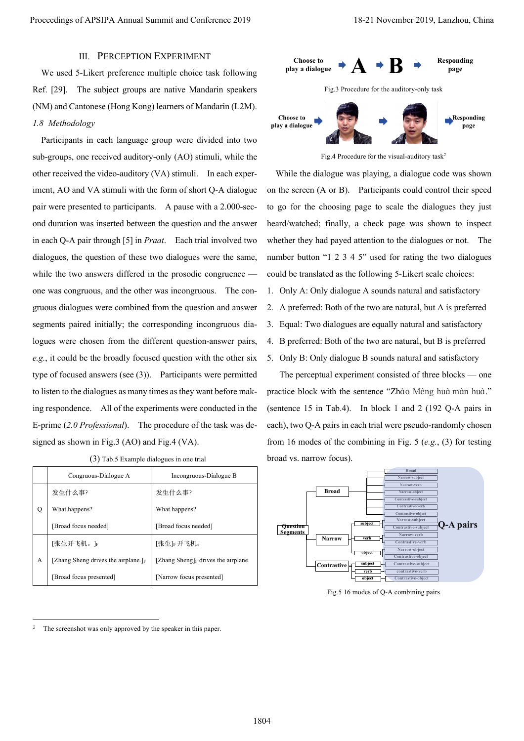# III. PERCEPTION EXPERIMENT

We used 5-Likert preference multiple choice task following Ref. [29]. The subject groups are native Mandarin speakers (NM) and Cantonese (Hong Kong) learners of Mandarin (L2M). *1.8 Methodology*

Participants in each language group were divided into two sub-groups, one received auditory-only (AO) stimuli, while the other received the video-auditory (VA) stimuli. In each experiment, AO and VA stimuli with the form of short Q-A dialogue pair were presented to participants. A pause with a 2.000-second duration was inserted between the question and the answer in each Q-A pair through [5] in *Praat*. Each trial involved two dialogues, the question of these two dialogues were the same, while the two answers differed in the prosodic congruence one was congruous, and the other was incongruous. The congruous dialogues were combined from the question and answer segments paired initially; the corresponding incongruous dialogues were chosen from the different question-answer pairs, *e.g.*, it could be the broadly focused question with the other six type of focused answers (see (3)). Participants were permitted to listen to the dialogues as many times as they want before making respondence. All of the experiments were conducted in the E-prime (*2.0 Professional*). The procedure of the task was designed as shown in Fig.3 (AO) and Fig.4 (VA). Procedings of APSIPA Annual Summit and Conference 2019 18-21 November 2019 18-21 November 2019, Lanzhou Conserved 2019<br>
We used A short profession and procedure of the short procedure 2018 18-21 November 2019, The radio c

|   | Congruous-Dialogue A                | Incongruous-Dialogue B                  |
|---|-------------------------------------|-----------------------------------------|
|   | 发生什么事?                              | 发生什么事?                                  |
| Q | What happens?                       | What happens?                           |
|   | [Broad focus needed]                | [Broad focus needed]                    |
|   | 「张生开飞机。」F                           | 「张生」『开飞机。                               |
| А | [Zhang Sheng drives the airplane.]F | [Zhang Sheng] $_F$ drives the airplane. |
|   | [Broad focus presented]             | [Narrow focus presented]                |

|  | (3) Tab.5 Example dialogues in one trial |  |  |
|--|------------------------------------------|--|--|
|  |                                          |  |  |



Fig.4 Procedure for the visual-auditory task<sup>2</sup>

While the dialogue was playing, a dialogue code was shown on the screen (A or B). Participants could control their speed to go for the choosing page to scale the dialogues they just heard/watched; finally, a check page was shown to inspect whether they had payed attention to the dialogues or not. The number button "1 2 3 4 5" used for rating the two dialogues could be translated as the following 5-Likert scale choices:

- 1. Only A: Only dialogue A sounds natural and satisfactory
- 2. A preferred: Both of the two are natural, but A is preferred
- 3. Equal: Two dialogues are equally natural and satisfactory
- 4. B preferred: Both of the two are natural, but B is preferred
- 5. Only B: Only dialogue B sounds natural and satisfactory

The perceptual experiment consisted of three blocks — one practice block with the sentence "Zhào Mèng huà màn huà." (sentence 15 in Tab.4). In block 1 and 2 (192 Q-A pairs in each), two Q-A pairs in each trial were pseudo-randomly chosen from 16 modes of the combining in Fig. 5 (*e.g.*, (3) for testing broad vs. narrow focus).



Fig.5 16 modes of Q-A combining pairs

The screenshot was only approved by the speaker in this paper.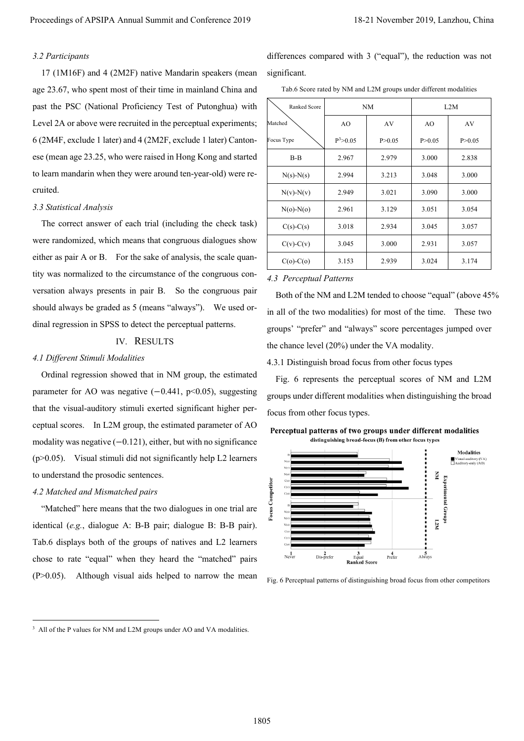## *3.2 Participants*

#### *3.3 Statistical Analysis*

# IV. RESULTS

#### *4.1 Different Stimuli Modalities*

## *4.2 Matched and Mismatched pairs*

Tab.6 Score rated by NM and L2M groups under different modalities

| Proceedings of APSIPA Annual Summit and Conference 2019                                                                                     |                                                                                                                                                   |                              |                                                       |                            | 18-21 November 2019, Lanzhou, China                      |
|---------------------------------------------------------------------------------------------------------------------------------------------|---------------------------------------------------------------------------------------------------------------------------------------------------|------------------------------|-------------------------------------------------------|----------------------------|----------------------------------------------------------|
| 3.2 Participants<br>17 (1M16F) and 4 (2M2F) native Mandarin speakers (mean<br>age 23.67, who spent most of their time in mainland China and | differences compared with 3 ("equal"), the reduction was not<br>significant.<br>Tab.6 Score rated by NM and L2M groups under different modalities |                              |                                                       |                            |                                                          |
| past the PSC (National Proficiency Test of Putonghua) with                                                                                  | $\rm NM$<br>L2M<br>Ranked Score                                                                                                                   |                              |                                                       |                            |                                                          |
| Level 2A or above were recruited in the perceptual experiments;                                                                             | Matched                                                                                                                                           | AO                           | AV                                                    | AO                         | AV                                                       |
| 6 (2M4F, exclude 1 later) and 4 (2M2F, exclude 1 later) Canton-                                                                             | Focus Type                                                                                                                                        | $P^3 > 0.05$                 | P > 0.05                                              | P > 0.05                   | P > 0.05                                                 |
| ese (mean age 23.25, who were raised in Hong Kong and started                                                                               | $B-B$                                                                                                                                             | 2.967                        | 2.979                                                 | 3.000                      | 2.838                                                    |
| to learn mandarin when they were around ten-year-old) were re-                                                                              | $N(s)$ - $N(s)$                                                                                                                                   | 2.994                        | 3.213                                                 | 3.048                      | 3.000                                                    |
| cruited.                                                                                                                                    | $N(v)$ - $N(v)$                                                                                                                                   | 2.949                        | 3.021                                                 | 3.090                      | 3.000                                                    |
| 3.3 Statistical Analysis                                                                                                                    | $N(o)$ - $N(o)$                                                                                                                                   | 2.961                        | 3.129                                                 | 3.051                      | 3.054                                                    |
| The correct answer of each trial (including the check task)                                                                                 | $C(s)$ - $C(s)$                                                                                                                                   | 3.018                        | 2.934                                                 | 3.045                      | 3.057                                                    |
| were randomized, which means that congruous dialogues show                                                                                  | $C(v)$ - $C(v)$                                                                                                                                   | 3.045                        | 3.000                                                 | 2.931                      | 3.057                                                    |
| either as pair A or B. For the sake of analysis, the scale quan-                                                                            | $C(o)$ - $C(o)$                                                                                                                                   | 3.153                        | 2.939                                                 | 3.024                      | 3.174                                                    |
| tity was normalized to the circumstance of the congruous con-                                                                               | 4.3 Perceptual Patterns                                                                                                                           |                              |                                                       |                            |                                                          |
| versation always presents in pair B. So the congruous pair                                                                                  | Both of the NM and L2M tended to choose "equal" (above 45%                                                                                        |                              |                                                       |                            |                                                          |
| should always be graded as 5 (means "always"). We used or-                                                                                  |                                                                                                                                                   |                              |                                                       |                            |                                                          |
| dinal regression in SPSS to detect the perceptual patterns.                                                                                 | in all of the two modalities) for most of the time. These two<br>groups' "prefer" and "always" score percentages jumped over                      |                              |                                                       |                            |                                                          |
| IV. RESULTS                                                                                                                                 | the chance level (20%) under the VA modality.                                                                                                     |                              |                                                       |                            |                                                          |
| 4.1 Different Stimuli Modalities                                                                                                            | 4.3.1 Distinguish broad focus from other focus types                                                                                              |                              |                                                       |                            |                                                          |
| Ordinal regression showed that in NM group, the estimated                                                                                   | Fig. 6 represents the perceptual scores of NM and L2M                                                                                             |                              |                                                       |                            |                                                          |
| parameter for AO was negative $(-0.441, p<0.05)$ , suggesting                                                                               | groups under different modalities when distinguishing the broad                                                                                   |                              |                                                       |                            |                                                          |
| that the visual-auditory stimuli exerted significant higher per-                                                                            | focus from other focus types.                                                                                                                     |                              |                                                       |                            |                                                          |
| ceptual scores. In L2M group, the estimated parameter of AO                                                                                 | Perceptual patterns of two groups under different modalities                                                                                      |                              |                                                       |                            |                                                          |
| modality was negative $(-0.121)$ , either, but with no significance                                                                         |                                                                                                                                                   |                              | distinguishing broad-focus (B) from other focus types |                            |                                                          |
| (p>0.05). Visual stimuli did not significantly help L2 learners                                                                             |                                                                                                                                                   |                              |                                                       |                            | Modalities<br>Visual-auditory (VA)<br>Auditory-only (AO) |
| to understand the prosodic sentences.                                                                                                       |                                                                                                                                                   |                              |                                                       | š                          |                                                          |
| 4.2 Matched and Mismatched pairs                                                                                                            | <b>Focus Competitor</b>                                                                                                                           |                              |                                                       | <b>Experimental Groups</b> |                                                          |
| "Matched" here means that the two dialogues in one trial are                                                                                |                                                                                                                                                   |                              |                                                       |                            |                                                          |
| identical (e.g., dialogue A: B-B pair; dialogue B: B-B pair).                                                                               |                                                                                                                                                   |                              |                                                       | L2M                        |                                                          |
| Tab.6 displays both of the groups of natives and L2 learners                                                                                |                                                                                                                                                   |                              |                                                       |                            |                                                          |
| chose to rate "equal" when they heard the "matched" pairs                                                                                   | $2$<br>Dis-prefer<br>$\frac{1}{\text{Never}}$                                                                                                     | Equal<br><b>Ranked Score</b> | $4$<br>Prefer                                         | $\frac{5}{\text{Always}}$  |                                                          |
| Although visual aids helped to narrow the mean<br>$(P>0.05)$ .                                                                              | Fig. 6 Perceptual patterns of distinguishing broad focus from other competitors                                                                   |                              |                                                       |                            |                                                          |
|                                                                                                                                             |                                                                                                                                                   |                              |                                                       |                            |                                                          |
| <sup>3</sup> All of the P values for NM and L2M groups under AO and VA modalities.                                                          |                                                                                                                                                   |                              |                                                       |                            |                                                          |
|                                                                                                                                             |                                                                                                                                                   |                              |                                                       |                            |                                                          |
|                                                                                                                                             |                                                                                                                                                   |                              |                                                       |                            |                                                          |
|                                                                                                                                             | 1805                                                                                                                                              |                              |                                                       |                            |                                                          |

#### *4.3 Perceptual Patterns*



Fig. 6 Perceptual patterns of distinguishing broad focus from other competitors

<sup>&</sup>lt;sup>3</sup> All of the P values for NM and L2M groups under AO and VA modalities.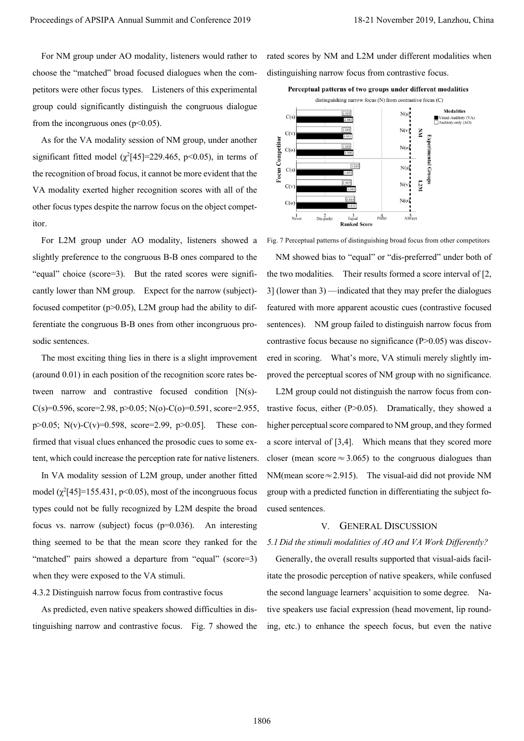For NM group under AO modality, listeners would rather to choose the "matched" broad focused dialogues when the competitors were other focus types. Listeners of this experimental group could significantly distinguish the congruous dialogue from the incongruous ones  $(p<0.05)$ .

As for the VA modality session of NM group, under another significant fitted model  $(\chi^2[45] = 229.465, \text{ p} < 0.05)$ , in terms of the recognition of broad focus, it cannot be more evident that the VA modality exerted higher recognition scores with all of the other focus types despite the narrow focus on the object competitor.

For L2M group under AO modality, listeners showed a slightly preference to the congruous B-B ones compared to the "equal" choice (score=3). But the rated scores were significantly lower than NM group. Expect for the narrow (subject) focused competitor ( $p$  $>$ 0.05), L2M group had the ability to differentiate the congruous B-B ones from other incongruous prosodic sentences.

The most exciting thing lies in there is a slight improvement (around 0.01) in each position of the recognition score rates between narrow and contrastive focused condition [N(s)- C(s)=0.596, score=2.98, p>0.05; N(o)-C(o)=0.591, score=2.955, p>0.05; N(v)-C(v)=0.598, score=2.99, p>0.05]. These confirmed that visual clues enhanced the prosodic cues to some extent, which could increase the perception rate for native listeners.

In VA modality session of L2M group, under another fitted model  $(\chi^2[45] = 155.431, \text{p} < 0.05)$ , most of the incongruous focus types could not be fully recognized by L2M despite the broad focus vs. narrow (subject) focus (p=0.036). An interesting thing seemed to be that the mean score they ranked for the "matched" pairs showed a departure from "equal" (score=3) when they were exposed to the VA stimuli.

4.3.2 Distinguish narrow focus from contrastive focus

As predicted, even native speakers showed difficulties in distinguishing narrow and contrastive focus. Fig. 7 showed the rated scores by NM and L2M under different modalities when distinguishing narrow focus from contrastive focus.



Fig. 7 Perceptual patterns of distinguishing broad focus from other competitors NM showed bias to "equal" or "dis-preferred" under both of the two modalities. Their results formed a score interval of [2, 3] (lower than 3) —indicated that they may prefer the dialogues featured with more apparent acoustic cues (contrastive focused sentences). NM group failed to distinguish narrow focus from contrastive focus because no significance (P>0.05) was discovered in scoring. What's more, VA stimuli merely slightly improved the perceptual scores of NM group with no significance. Proceeding of APSIPA Annual Summit and Conference 2019<br>
For Meropole of APSIPA Annual Summit and Conference 2019<br>
For Meropole of Alexander Conference 2019, Lanzhou and Conference 2019 18-21 November 2019, Lanzhou<br>
From t

L2M group could not distinguish the narrow focus from contrastive focus, either (P>0.05). Dramatically, they showed a higher perceptual score compared to NM group, and they formed a score interval of [3,4]. Which means that they scored more closer (mean score  $\approx$  3.065) to the congruous dialogues than NM(mean score≈2.915). The visual-aid did not provide NM group with a predicted function in differentiating the subject focused sentences.

## V. GENERAL DISCUSSION

#### *5.1 Did the stimuli modalities of AO and VA Work Differently?*

Generally, the overall results supported that visual-aids facilitate the prosodic perception of native speakers, while confused the second language learners' acquisition to some degree. Native speakers use facial expression (head movement, lip rounding, etc.) to enhance the speech focus, but even the native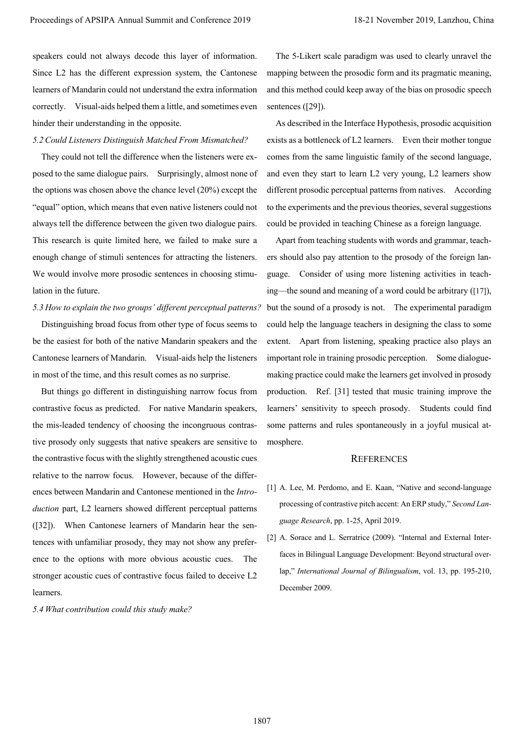speakers could not always decode this layer of information. Since L2 has the different expression system, the Cantonese learners of Mandarin could not understand the extra information correctly. Visual-aids helped them a little, and sometimes even hinder their understanding in the opposite.

## *5.2Could Listeners Distinguish Matched From Mismatched?*

They could not tell the difference when the listeners were exposed to the same dialogue pairs. Surprisingly, almost none of the options was chosen above the chance level (20%) except the "equal" option, which means that even native listeners could not always tell the difference between the given two dialogue pairs. This research is quite limited here, we failed to make sure a enough change of stimuli sentences for attracting the listeners. We would involve more prosodic sentences in choosing stimulation in the future.

## *5.3 How to explain the two groups' different perceptual patterns?*

Distinguishing broad focus from other type of focus seems to be the easiest for both of the native Mandarin speakers and the Cantonese learners of Mandarin. Visual-aids help the listeners in most of the time, and this result comes as no surprise.

But things go different in distinguishing narrow focus from contrastive focus as predicted. For native Mandarin speakers, the mis-leaded tendency of choosing the incongruous contrastive prosody only suggests that native speakers are sensitive to the contrastive focus with the slightly strengthened acoustic cues relative to the narrow focus. However, because of the differences between Mandarin and Cantonese mentioned in the *Introduction* part, L2 learners showed different perceptual patterns ([32]). When Cantonese learners of Mandarin hear the sentences with unfamiliar prosody, they may not show any preference to the options with more obvious acoustic cues. The stronger acoustic cues of contrastive focus failed to deceive L2 learners.

*5.4 What contribution could this study make?* 

The 5-Likert scale paradigm was used to clearly unravel the mapping between the prosodic form and its pragmatic meaning, and this method could keep away of the bias on prosodic speech sentences ([29]).

As described in the Interface Hypothesis, prosodic acquisition exists as a bottleneck of L2 learners. Even their mother tongue comes from the same linguistic family of the second language, and even they start to learn L2 very young, L2 learners show different prosodic perceptual patterns from natives. According to the experiments and the previous theories, several suggestions could be provided in teaching Chinese as a foreign language.

Apart from teaching students with words and grammar, teachers should also pay attention to the prosody of the foreign language. Consider of using more listening activities in teaching—the sound and meaning of a word could be arbitrary ([17]), but the sound of a prosody is not. The experimental paradigm could help the language teachers in designing the class to some extent. Apart from listening, speaking practice also plays an important role in training prosodic perception. Some dialoguemaking practice could make the learners get involved in prosody production. Ref. [31] tested that music training improve the learners' sensitivity to speech prosody. Students could find some patterns and rules spontaneously in a joyful musical atmosphere. Proceedings of APSIPA Animal Summit and Conference 2019<br>
Proceedings of APSIPA Annual Summit and Conference 2019, the Statistics conference contents and the summit and Conference 2019, the Summit and Conference 2019, Nove

## **REFERENCES**

- [1] A. Lee, M. Perdomo, and E. Kaan, "Native and second-language processing of contrastive pitch accent: An ERP study," *Second Language Research*, pp. 1-25, April 2019.
- [2] A. Sorace and L. Serratrice (2009). "Internal and External Interfaces in Bilingual Language Development: Beyond structural overlap," *International Journal of Bilingualism*, vol. 13, pp. 195-210, December 2009.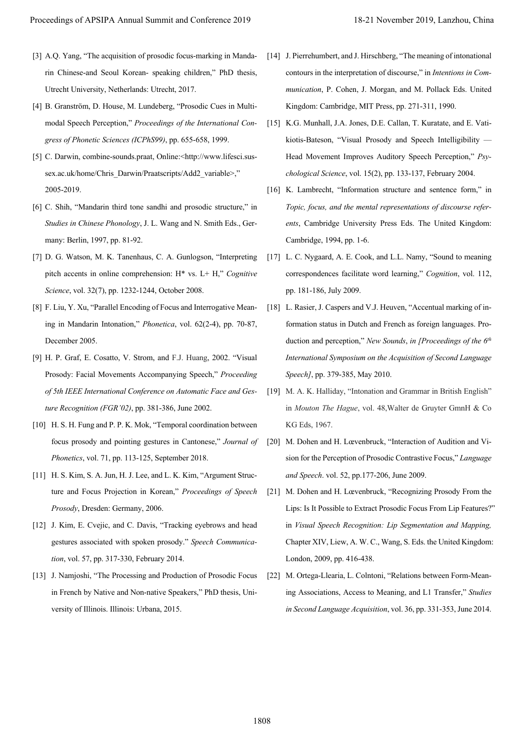- [3] A.Q. Yang, "The acquisition of prosodic focus-marking in Mandarin Chinese-and Seoul Korean- speaking children," PhD thesis, Utrecht University, Netherlands: Utrecht, 2017.
- [4] B. Granström, D. House, M. Lundeberg, "Prosodic Cues in Multimodal Speech Perception," *Proceedings of the International Congress of Phonetic Sciences (ICPhS99)*, pp. 655-658, 1999.
- [5] C. Darwin, combine-sounds.praat, Online:<http://www.lifesci.sussex.ac.uk/home/Chris\_Darwin/Praatscripts/Add2\_variable>," 2005-2019.
- [6] C. Shih, "Mandarin third tone sandhi and prosodic structure," in *Studies in Chinese Phonology*, J. L. Wang and N. Smith Eds., Germany: Berlin, 1997, pp. 81-92.
- [7] D. G. Watson, M. K. Tanenhaus, C. A. Gunlogson, "Interpreting pitch accents in online comprehension: H\* vs. L+ H," *Cognitive Science*, vol. 32(7), pp. 1232-1244, October 2008.
- [8] F. Liu, Y. Xu, "Parallel Encoding of Focus and Interrogative Meaning in Mandarin Intonation," *Phonetica*, vol. 62(2-4), pp. 70-87, December 2005.
- [9] H. P. Graf, E. Cosatto, V. Strom, and F.J. Huang, 2002. "Visual Prosody: Facial Movements Accompanying Speech," *Proceeding of 5th IEEE International Conference on Automatic Face and Gesture Recognition (FGR'02)*, pp. 381-386, June 2002.
- [10] H. S. H. Fung and P. P. K. Mok, "Temporal coordination between focus prosody and pointing gestures in Cantonese," *Journal of Phonetics*, vol. 71, pp. 113-125, September 2018.
- [11] H. S. Kim, S. A. Jun, H. J. Lee, and L. K. Kim, "Argument Structure and Focus Projection in Korean," *Proceedings of Speech Prosody*, Dresden: Germany, 2006.
- [12] J. Kim, E. Cvejic, and C. Davis, "Tracking eyebrows and head gestures associated with spoken prosody." *Speech Communication*, vol. 57, pp. 317-330, February 2014.
- [13] J. Namioshi, "The Processing and Production of Prosodic Focus in French by Native and Non-native Speakers," PhD thesis, University of Illinois. Illinois: Urbana, 2015.
- [14] J. Pierrehumbert, and J. Hirschberg, "The meaning of intonational contours in the interpretation of discourse," in *Intentions in Communication*, P. Cohen, J. Morgan, and M. Pollack Eds. United Kingdom: Cambridge, MIT Press, pp. 271-311, 1990.
- [15] K.G. Munhall, J.A. Jones, D.E. Callan, T. Kuratate, and E. Vatikiotis-Bateson, "Visual Prosody and Speech Intelligibility — Head Movement Improves Auditory Speech Perception," *Psychological Science*, vol. 15(2), pp. 133-137, February 2004.
- [16] K. Lambrecht, "Information structure and sentence form," in *Topic, focus, and the mental representations of discourse referents*, Cambridge University Press Eds. The United Kingdom: Cambridge, 1994, pp. 1-6.
- [17] L. C. Nygaard, A. E. Cook, and L.L. Namy, "Sound to meaning correspondences facilitate word learning," *Cognition*, vol. 112, pp. 181-186, July 2009.
- [18] L. Rasier, J. Caspers and V.J. Heuven, "Accentual marking of information status in Dutch and French as foreign languages. Production and perception," *New Sounds*, *in [Proceedings of the 6th International Symposium on the Acquisition of Second Language Speech]*, pp. 379-385, May 2010.
- [19] M. A. K. Halliday, "Intonation and Grammar in British English" in *Mouton The Hague*, vol. 48,Walter de Gruyter GmnH & Co KG Eds, 1967.
- [20] M. Dohen and H. Lœvenbruck, "Interaction of Audition and Vision for the Perception of Prosodic Contrastive Focus," *Language and Speech*. vol. 52, pp.177-206, June 2009.
- [21] M. Dohen and H. Lœvenbruck, "Recognizing Prosody From the Lips: Is It Possible to Extract Prosodic Focus From Lip Features?" in *Visual Speech Recognition: Lip Segmentation and Mapping,*  Chapter XIV, Liew, A. W. C., Wang, S. Eds. the United Kingdom: London, 2009, pp. 416-438. Proceedings of APSIPA Annual Summit and China is 2019<br>
For Algorithm China 2019<br>
For Algorithm China 2019, The Conference 2019 11 increases of the china 2018 and Conference 2019 18-21 November 2019, Location (Summit and C
	- [22] M. Ortega-Llearia, L. Colntoni, "Relations between Form-Meaning Associations, Access to Meaning, and L1 Transfer," *Studies in Second Language Acquisition*, vol. 36, pp. 331-353, June 2014.